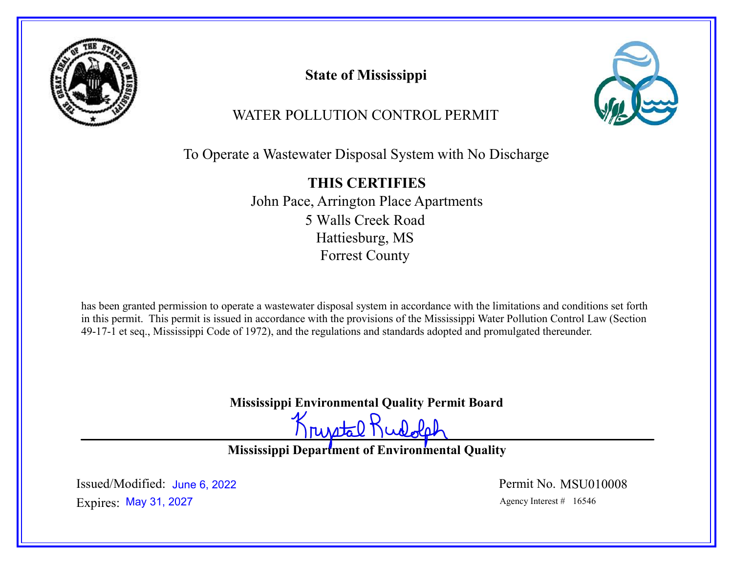

State of Mississippi



# WATER POLLUTION CONTROL PERMIT

To Operate a Wastewater Disposal System with No Discharge

THIS CERTIFIES John Pace, Arrington Place Apartments 5 Walls Creek Road Hattiesburg, MS Forrest County

has been granted permission to operate a wastewater disposal system in accordance with the limitations and conditions set forth in this permit. This permit is issued in accordance with the provisions of the Mississippi Water Pollution Control Law (Section 49-17-1 et seq., Mississippi Code of 1972), and the regulations and standards adopted and promulgated thereunder.

Mississippi Environmental Quality Permit Board

Krustal Rudolph

Mississippi Department of Environmental Quality

Expires: May 31, 2027 and Separate the Separate Agency Interest # 16546 Issued/Modified: June 6, 2022 <br>
Permit No. MSU010008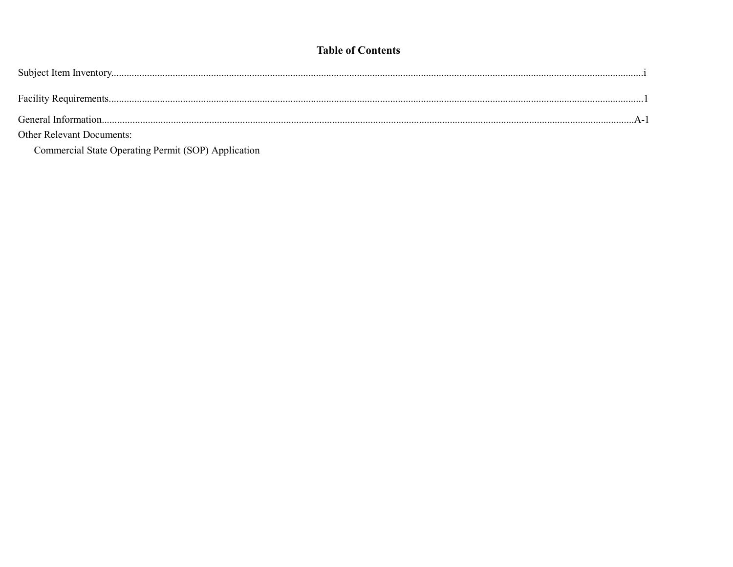# **Table of Contents**

| General Information              |
|----------------------------------|
| <b>Other Relevant Documents:</b> |

Commercial State Operating Permit (SOP) Application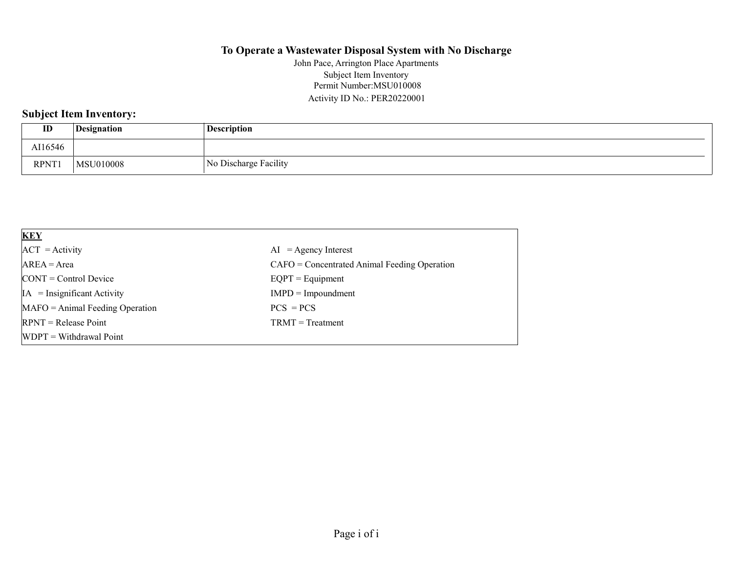#### To Operate a Wastewater Disposal System with No Discharge

Permit Number:MSU010008 Activity ID No.: PER20220001 John Pace, Arrington Place Apartments Subject Item Inventory

# Subject Item Inventory:

| ID          | Designation | <b>Description</b>    |
|-------------|-------------|-----------------------|
| AI16546     |             |                       |
| <b>RPNT</b> | MSU010008   | No Discharge Facility |

| <b>KEY</b>                            |                                                |
|---------------------------------------|------------------------------------------------|
| $ACT = Activity$                      | $AI = Agency Interest$                         |
| $AREA = Area$                         | $CAFO =$ Concentrated Animal Feeding Operation |
| $\text{CONT} = \text{Control Device}$ | $EQPT =$ Equipment                             |
| $IA = Insignificant Activity$         | $IMPD = Impoundment$                           |
| $MAFO = Animal Feeding Operation$     | $PCS = PCS$                                    |
| $RPNT = Release Point$                | $TRMT = Treatment$                             |
| $[WDPT = Without$ Withdrawal Point    |                                                |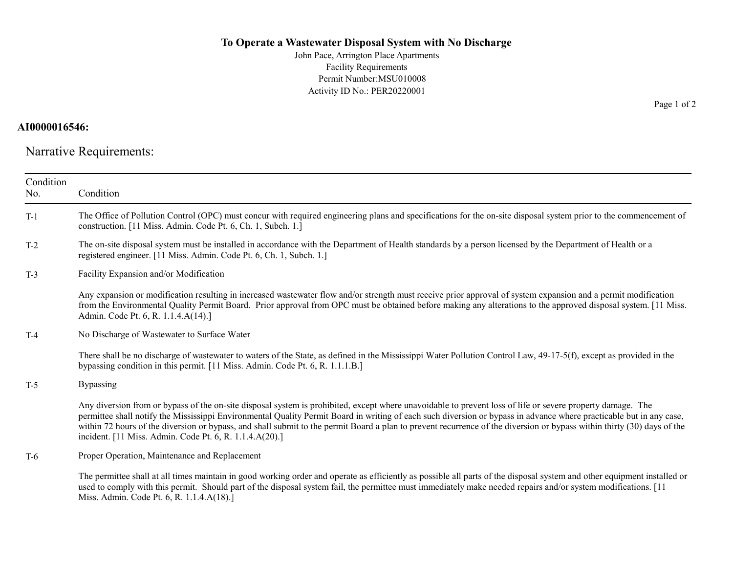#### To Operate a Wastewater Disposal System with No Discharge

John Pace, Arrington Place Apartments Facility Requirements Permit Number:MSU010008 Activity ID No.: PER20220001

# AI0000016546:

Narrative Requirements:

| Condition<br>No. | Condition                                                                                                                                                                                                                                                                                                                                                                                                                                                                                                                                                               |  |  |  |
|------------------|-------------------------------------------------------------------------------------------------------------------------------------------------------------------------------------------------------------------------------------------------------------------------------------------------------------------------------------------------------------------------------------------------------------------------------------------------------------------------------------------------------------------------------------------------------------------------|--|--|--|
| $T-1$            | The Office of Pollution Control (OPC) must concur with required engineering plans and specifications for the on-site disposal system prior to the commencement of<br>construction. [11 Miss. Admin. Code Pt. 6, Ch. 1, Subch. 1.]                                                                                                                                                                                                                                                                                                                                       |  |  |  |
| $T-2$            | The on-site disposal system must be installed in accordance with the Department of Health standards by a person licensed by the Department of Health or a<br>registered engineer. [11 Miss. Admin. Code Pt. 6, Ch. 1, Subch. 1.]                                                                                                                                                                                                                                                                                                                                        |  |  |  |
| $T-3$            | Facility Expansion and/or Modification                                                                                                                                                                                                                                                                                                                                                                                                                                                                                                                                  |  |  |  |
|                  | Any expansion or modification resulting in increased wastewater flow and/or strength must receive prior approval of system expansion and a permit modification<br>from the Environmental Quality Permit Board. Prior approval from OPC must be obtained before making any alterations to the approved disposal system. [11 Miss.<br>Admin. Code Pt. 6, R. 1.1.4.A(14).]                                                                                                                                                                                                 |  |  |  |
| $T-4$            | No Discharge of Wastewater to Surface Water                                                                                                                                                                                                                                                                                                                                                                                                                                                                                                                             |  |  |  |
|                  | There shall be no discharge of wastewater to waters of the State, as defined in the Mississippi Water Pollution Control Law, 49-17-5(f), except as provided in the<br>bypassing condition in this permit. [11 Miss. Admin. Code Pt. 6, R. 1.1.1.B.]                                                                                                                                                                                                                                                                                                                     |  |  |  |
| $T-5$            | <b>Bypassing</b>                                                                                                                                                                                                                                                                                                                                                                                                                                                                                                                                                        |  |  |  |
|                  | Any diversion from or bypass of the on-site disposal system is prohibited, except where unavoidable to prevent loss of life or severe property damage. The<br>permittee shall notify the Mississippi Environmental Quality Permit Board in writing of each such diversion or bypass in advance where practicable but in any case,<br>within 72 hours of the diversion or bypass, and shall submit to the permit Board a plan to prevent recurrence of the diversion or bypass within thirty (30) days of the<br>incident. [11 Miss. Admin. Code Pt. 6, R. 1.1.4.A(20).] |  |  |  |
| T-6              | Proper Operation, Maintenance and Replacement                                                                                                                                                                                                                                                                                                                                                                                                                                                                                                                           |  |  |  |
|                  | The permittee shall at all times maintain in good working order and operate as efficiently as possible all parts of the disposal system and other equipment installed or<br>used to comply with this permit. Should part of the disposal system fail, the permittee must immediately make needed repairs and/or system modifications. [11]<br>Miss. Admin. Code Pt. 6, R. 1.1.4.A(18).]                                                                                                                                                                                 |  |  |  |

Page 1 of 2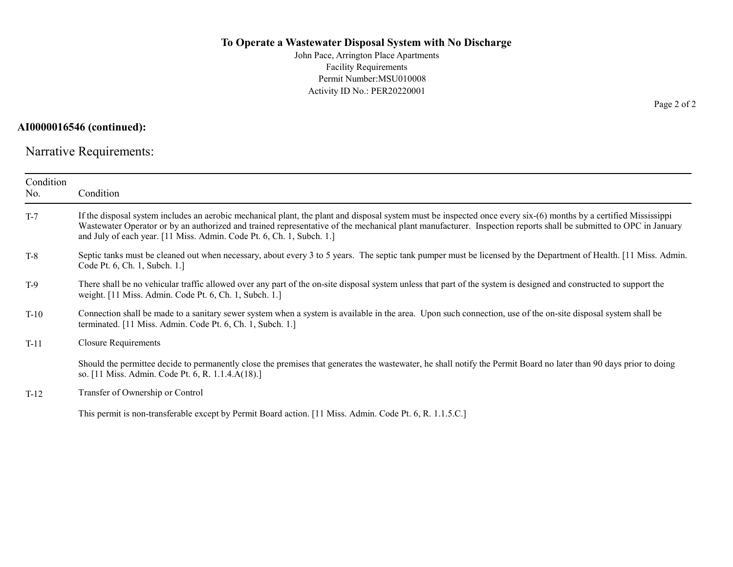#### To Operate a Wastewater Disposal System with No Discharge

John Pace, Arrington Place Apartments Facility Requirements Permit Number:MSU010008 Activity ID No.: PER20220001

#### AI0000016546 (continued):

Narrative Requirements:

| Condition<br>No. | Condition                                                                                                                                                                                                                                                                                                                                                                                                      |
|------------------|----------------------------------------------------------------------------------------------------------------------------------------------------------------------------------------------------------------------------------------------------------------------------------------------------------------------------------------------------------------------------------------------------------------|
| $T-7$            | If the disposal system includes an aerobic mechanical plant, the plant and disposal system must be inspected once every six-(6) months by a certified Mississippi<br>Wastewater Operator or by an authorized and trained representative of the mechanical plant manufacturer. Inspection reports shall be submitted to OPC in January<br>and July of each year. [11 Miss. Admin. Code Pt. 6, Ch. 1, Subch. 1.] |
| $T-8$            | Septic tanks must be cleaned out when necessary, about every 3 to 5 years. The septic tank pumper must be licensed by the Department of Health. [11 Miss. Admin.]<br>Code Pt. 6, Ch. 1, Subch. 1.]                                                                                                                                                                                                             |
| $T-9$            | There shall be no vehicular traffic allowed over any part of the on-site disposal system unless that part of the system is designed and constructed to support the<br>weight. [11 Miss. Admin. Code Pt. 6, Ch. 1, Subch. 1.]                                                                                                                                                                                   |
| $T-10$           | Connection shall be made to a sanitary sewer system when a system is available in the area. Upon such connection, use of the on-site disposal system shall be<br>terminated. [11 Miss. Admin. Code Pt. 6, Ch. 1, Subch. 1.]                                                                                                                                                                                    |
| $T-11$           | <b>Closure Requirements</b>                                                                                                                                                                                                                                                                                                                                                                                    |
|                  | Should the permittee decide to permanently close the premises that generates the wastewater, he shall notify the Permit Board no later than 90 days prior to doing<br>so. [11 Miss. Admin. Code Pt. 6, R. 1.1.4.A(18).]                                                                                                                                                                                        |
| $T-12$           | Transfer of Ownership or Control                                                                                                                                                                                                                                                                                                                                                                               |

This permit is non-transferable except by Permit Board action. [11 Miss. Admin. Code Pt. 6, R. 1.1.5.C.]

Page 2 of 2